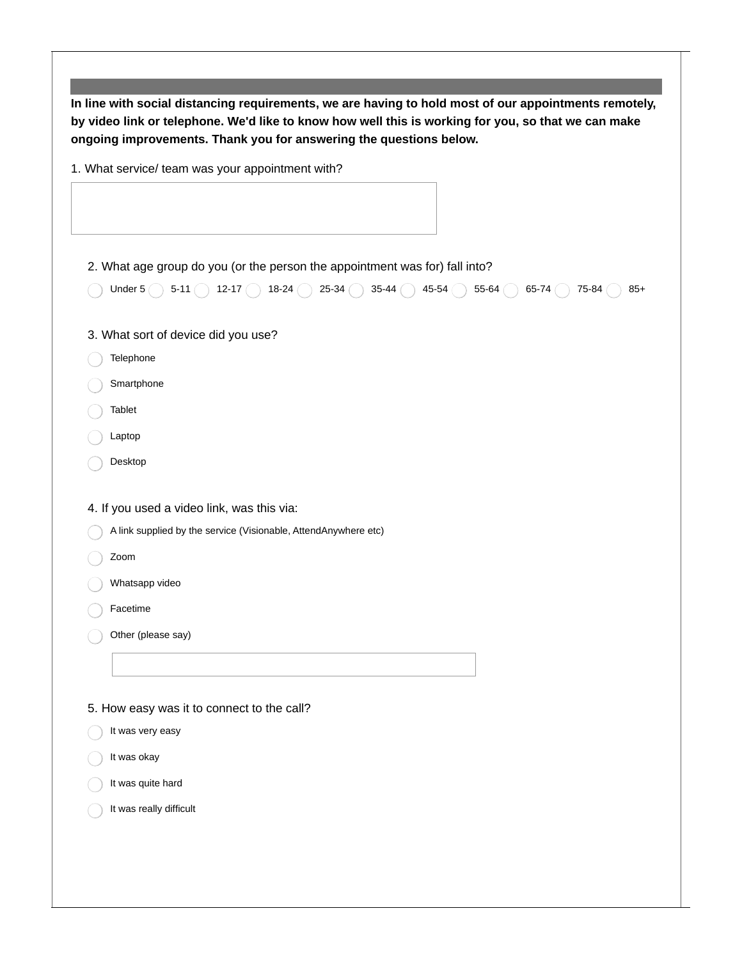**In line with social distancing requirements, we are having to hold most of our appointments remotely,** by video link or telephone. We'd like to know how well this is working for you, so that we can make **ongoing improvements. Thank you for answering the questions below.** 1. What service/ team was your appointment with? 2. What age group do you (or the person the appointment was for) fall into? Under 5  $\bigcirc$  5-11  $\bigcirc$  12-17  $\bigcirc$  18-24  $\bigcirc$  25-34  $\bigcirc$  35-44  $\bigcirc$  45-54  $\bigcirc$  55-64  $\bigcirc$  65-74  $\bigcirc$  75-84  $\bigcirc$  85+ 3. What sort of device did you use? Telephone Smartphone Tablet Laptop Desktop 4. If you used a video link, was this via: A link supplied by the service (Visionable, AttendAnywhere etc) Zoom Whatsapp video Facetime Other (please say) 5. How easy was it to connect to the call? It was very easy It was okay It was quite hard It was really difficult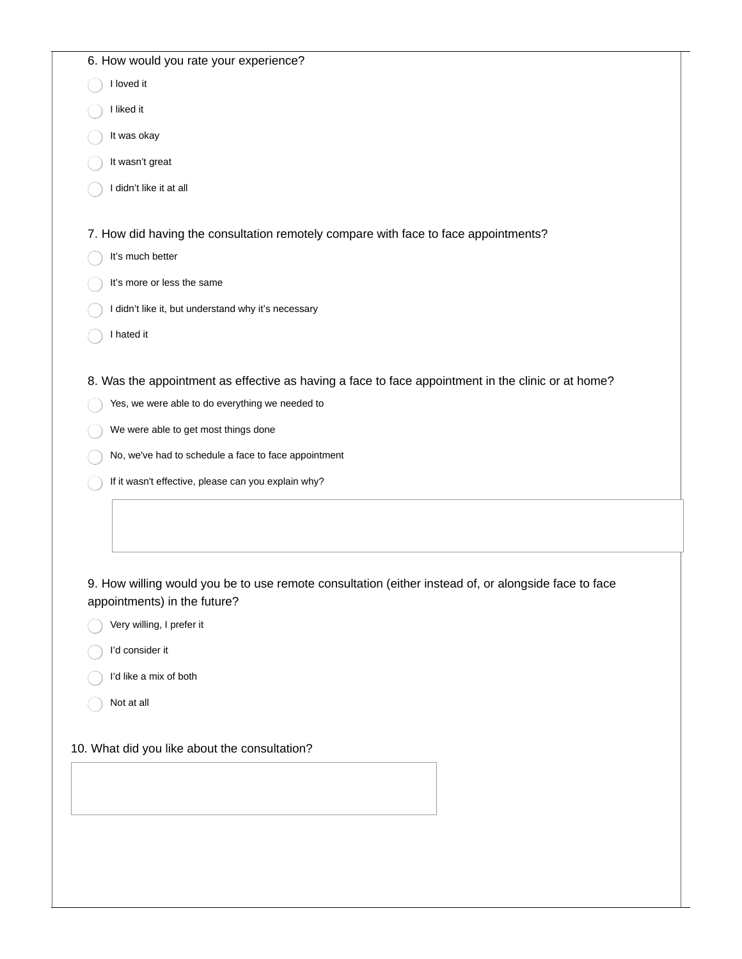| 6. How would you rate your experience?                                                               |
|------------------------------------------------------------------------------------------------------|
| I loved it                                                                                           |
| I liked it                                                                                           |
| It was okay                                                                                          |
| It wasn't great                                                                                      |
| I didn't like it at all                                                                              |
|                                                                                                      |
| 7. How did having the consultation remotely compare with face to face appointments?                  |
| It's much better                                                                                     |
| It's more or less the same                                                                           |
| I didn't like it, but understand why it's necessary                                                  |
| I hated it                                                                                           |
|                                                                                                      |
| 8. Was the appointment as effective as having a face to face appointment in the clinic or at home?   |
| Yes, we were able to do everything we needed to                                                      |
| We were able to get most things done                                                                 |
| No, we've had to schedule a face to face appointment                                                 |
| If it wasn't effective, please can you explain why?                                                  |
|                                                                                                      |
|                                                                                                      |
|                                                                                                      |
| 9. How willing would you be to use remote consultation (either instead of, or alongside face to face |
| appointments) in the future?                                                                         |
| Very willing, I prefer it                                                                            |
| I'd consider it                                                                                      |
| I'd like a mix of both                                                                               |
| Not at all                                                                                           |
|                                                                                                      |
| 10. What did you like about the consultation?                                                        |